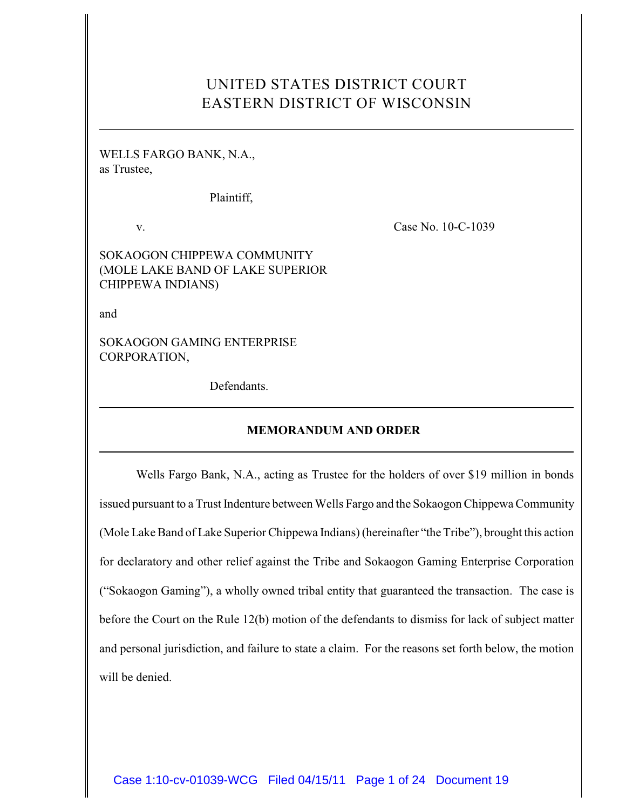# UNITED STATES DISTRICT COURT EASTERN DISTRICT OF WISCONSIN

WELLS FARGO BANK, N.A., as Trustee,

Plaintiff,

v. Case No. 10-C-1039

SOKAOGON CHIPPEWA COMMUNITY (MOLE LAKE BAND OF LAKE SUPERIOR CHIPPEWA INDIANS)

and

SOKAOGON GAMING ENTERPRISE CORPORATION,

Defendants.

## **MEMORANDUM AND ORDER**

Wells Fargo Bank, N.A., acting as Trustee for the holders of over \$19 million in bonds issued pursuant to a Trust Indenture between Wells Fargo and the Sokaogon Chippewa Community (Mole Lake Band of Lake Superior Chippewa Indians) (hereinafter "the Tribe"), brought this action for declaratory and other relief against the Tribe and Sokaogon Gaming Enterprise Corporation ("Sokaogon Gaming"), a wholly owned tribal entity that guaranteed the transaction. The case is before the Court on the Rule 12(b) motion of the defendants to dismiss for lack of subject matter and personal jurisdiction, and failure to state a claim. For the reasons set forth below, the motion will be denied.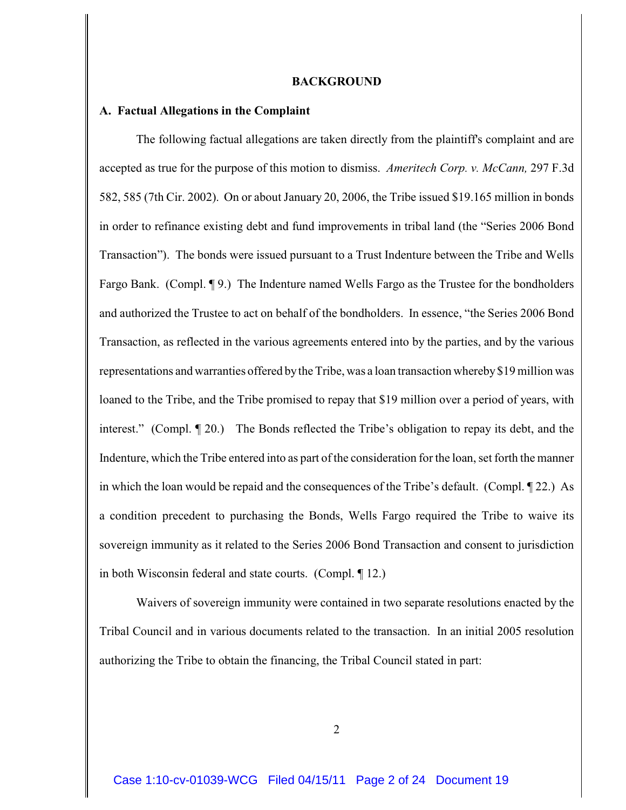#### **BACKGROUND**

## **A. Factual Allegations in the Complaint**

The following factual allegations are taken directly from the plaintiff's complaint and are accepted as true for the purpose of this motion to dismiss. *Ameritech Corp. v. McCann,* 297 F.3d 582, 585 (7th Cir. 2002). On or about January 20, 2006, the Tribe issued \$19.165 million in bonds in order to refinance existing debt and fund improvements in tribal land (the "Series 2006 Bond Transaction"). The bonds were issued pursuant to a Trust Indenture between the Tribe and Wells Fargo Bank. (Compl. ¶ 9.) The Indenture named Wells Fargo as the Trustee for the bondholders and authorized the Trustee to act on behalf of the bondholders. In essence, "the Series 2006 Bond Transaction, as reflected in the various agreements entered into by the parties, and by the various representations and warranties offered bythe Tribe, was a loan transaction whereby \$19 million was loaned to the Tribe, and the Tribe promised to repay that \$19 million over a period of years, with interest." (Compl. ¶ 20.) The Bonds reflected the Tribe's obligation to repay its debt, and the Indenture, which the Tribe entered into as part of the consideration for the loan, set forth the manner in which the loan would be repaid and the consequences of the Tribe's default. (Compl. ¶ 22.) As a condition precedent to purchasing the Bonds, Wells Fargo required the Tribe to waive its sovereign immunity as it related to the Series 2006 Bond Transaction and consent to jurisdiction in both Wisconsin federal and state courts. (Compl. ¶ 12.)

Waivers of sovereign immunity were contained in two separate resolutions enacted by the Tribal Council and in various documents related to the transaction. In an initial 2005 resolution authorizing the Tribe to obtain the financing, the Tribal Council stated in part: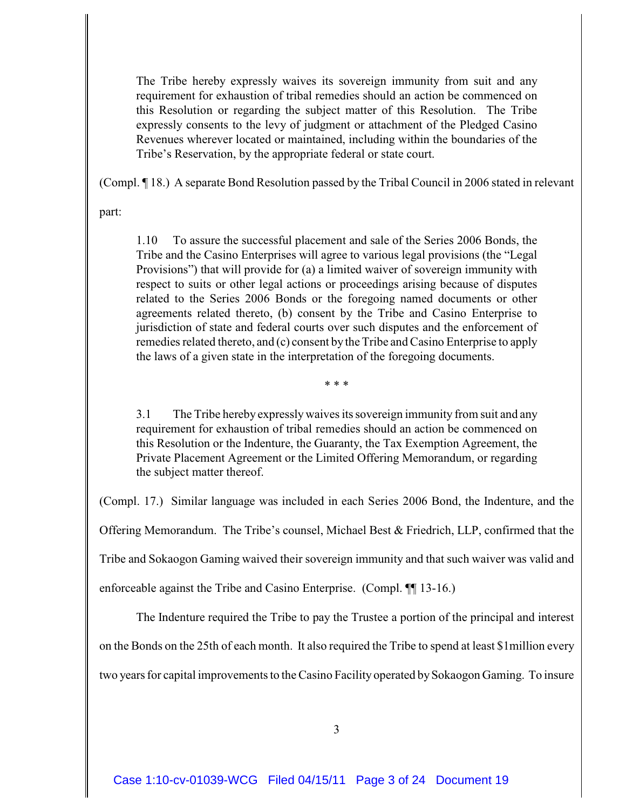The Tribe hereby expressly waives its sovereign immunity from suit and any requirement for exhaustion of tribal remedies should an action be commenced on this Resolution or regarding the subject matter of this Resolution. The Tribe expressly consents to the levy of judgment or attachment of the Pledged Casino Revenues wherever located or maintained, including within the boundaries of the Tribe's Reservation, by the appropriate federal or state court.

(Compl. ¶ 18.) A separate Bond Resolution passed by the Tribal Council in 2006 stated in relevant

part:

1.10 To assure the successful placement and sale of the Series 2006 Bonds, the Tribe and the Casino Enterprises will agree to various legal provisions (the "Legal Provisions") that will provide for (a) a limited waiver of sovereign immunity with respect to suits or other legal actions or proceedings arising because of disputes related to the Series 2006 Bonds or the foregoing named documents or other agreements related thereto, (b) consent by the Tribe and Casino Enterprise to jurisdiction of state and federal courts over such disputes and the enforcement of remedies related thereto, and (c) consent by the Tribe and Casino Enterprise to apply the laws of a given state in the interpretation of the foregoing documents.

\* \* \*

3.1 The Tribe hereby expressly waives its sovereign immunity from suit and any requirement for exhaustion of tribal remedies should an action be commenced on this Resolution or the Indenture, the Guaranty, the Tax Exemption Agreement, the Private Placement Agreement or the Limited Offering Memorandum, or regarding the subject matter thereof.

(Compl. 17.) Similar language was included in each Series 2006 Bond, the Indenture, and the Offering Memorandum. The Tribe's counsel, Michael Best & Friedrich, LLP, confirmed that the Tribe and Sokaogon Gaming waived their sovereign immunity and that such waiver was valid and enforceable against the Tribe and Casino Enterprise. (Compl. ¶¶ 13-16.)

The Indenture required the Tribe to pay the Trustee a portion of the principal and interest on the Bonds on the 25th of each month. It also required the Tribe to spend at least \$1million every two years for capital improvements to the Casino Facility operated by Sokaogon Gaming. To insure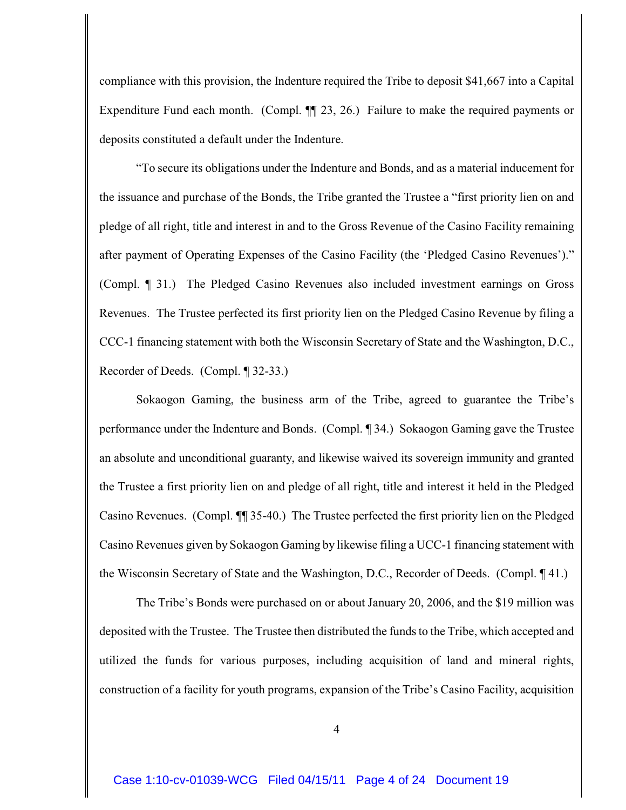compliance with this provision, the Indenture required the Tribe to deposit \$41,667 into a Capital Expenditure Fund each month. (Compl.  $\P$  23, 26.) Failure to make the required payments or deposits constituted a default under the Indenture.

"To secure its obligations under the Indenture and Bonds, and as a material inducement for the issuance and purchase of the Bonds, the Tribe granted the Trustee a "first priority lien on and pledge of all right, title and interest in and to the Gross Revenue of the Casino Facility remaining after payment of Operating Expenses of the Casino Facility (the 'Pledged Casino Revenues')." (Compl. ¶ 31.) The Pledged Casino Revenues also included investment earnings on Gross Revenues. The Trustee perfected its first priority lien on the Pledged Casino Revenue by filing a CCC-1 financing statement with both the Wisconsin Secretary of State and the Washington, D.C., Recorder of Deeds. (Compl. ¶ 32-33.)

Sokaogon Gaming, the business arm of the Tribe, agreed to guarantee the Tribe's performance under the Indenture and Bonds. (Compl. ¶ 34.) Sokaogon Gaming gave the Trustee an absolute and unconditional guaranty, and likewise waived its sovereign immunity and granted the Trustee a first priority lien on and pledge of all right, title and interest it held in the Pledged Casino Revenues. (Compl. ¶¶ 35-40.) The Trustee perfected the first priority lien on the Pledged Casino Revenues given by Sokaogon Gaming by likewise filing a UCC-1 financing statement with the Wisconsin Secretary of State and the Washington, D.C., Recorder of Deeds. (Compl. ¶ 41.)

The Tribe's Bonds were purchased on or about January 20, 2006, and the \$19 million was deposited with the Trustee. The Trustee then distributed the funds to the Tribe, which accepted and utilized the funds for various purposes, including acquisition of land and mineral rights, construction of a facility for youth programs, expansion of the Tribe's Casino Facility, acquisition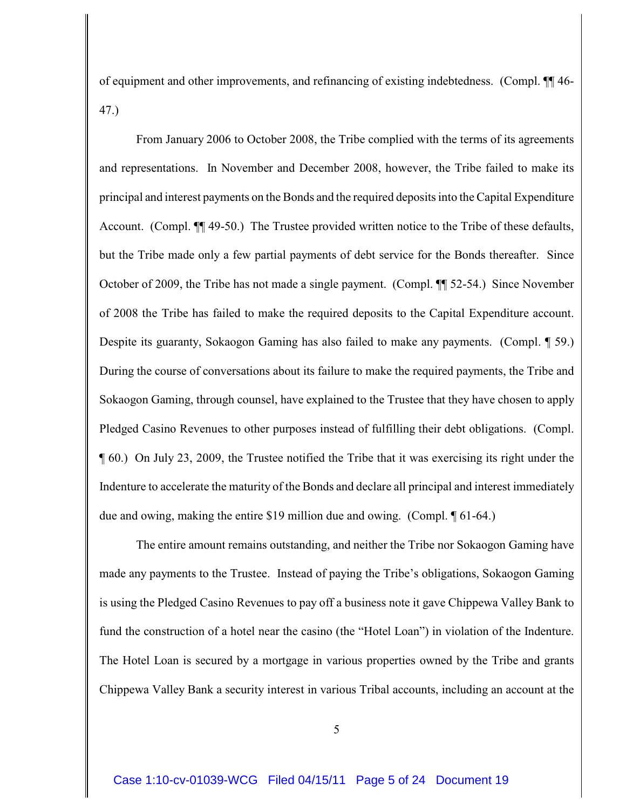of equipment and other improvements, and refinancing of existing indebtedness. (Compl. ¶¶ 46- 47.)

From January 2006 to October 2008, the Tribe complied with the terms of its agreements and representations. In November and December 2008, however, the Tribe failed to make its principal and interest payments on the Bonds and the required deposits into the Capital Expenditure Account. (Compl. ¶¶ 49-50.) The Trustee provided written notice to the Tribe of these defaults, but the Tribe made only a few partial payments of debt service for the Bonds thereafter. Since October of 2009, the Tribe has not made a single payment. (Compl. ¶¶ 52-54.) Since November of 2008 the Tribe has failed to make the required deposits to the Capital Expenditure account. Despite its guaranty, Sokaogon Gaming has also failed to make any payments. (Compl. ¶ 59.) During the course of conversations about its failure to make the required payments, the Tribe and Sokaogon Gaming, through counsel, have explained to the Trustee that they have chosen to apply Pledged Casino Revenues to other purposes instead of fulfilling their debt obligations. (Compl. ¶ 60.) On July 23, 2009, the Trustee notified the Tribe that it was exercising its right under the Indenture to accelerate the maturity of the Bonds and declare all principal and interest immediately due and owing, making the entire \$19 million due and owing. (Compl. ¶ 61-64.)

The entire amount remains outstanding, and neither the Tribe nor Sokaogon Gaming have made any payments to the Trustee. Instead of paying the Tribe's obligations, Sokaogon Gaming is using the Pledged Casino Revenues to pay off a business note it gave Chippewa Valley Bank to fund the construction of a hotel near the casino (the "Hotel Loan") in violation of the Indenture. The Hotel Loan is secured by a mortgage in various properties owned by the Tribe and grants Chippewa Valley Bank a security interest in various Tribal accounts, including an account at the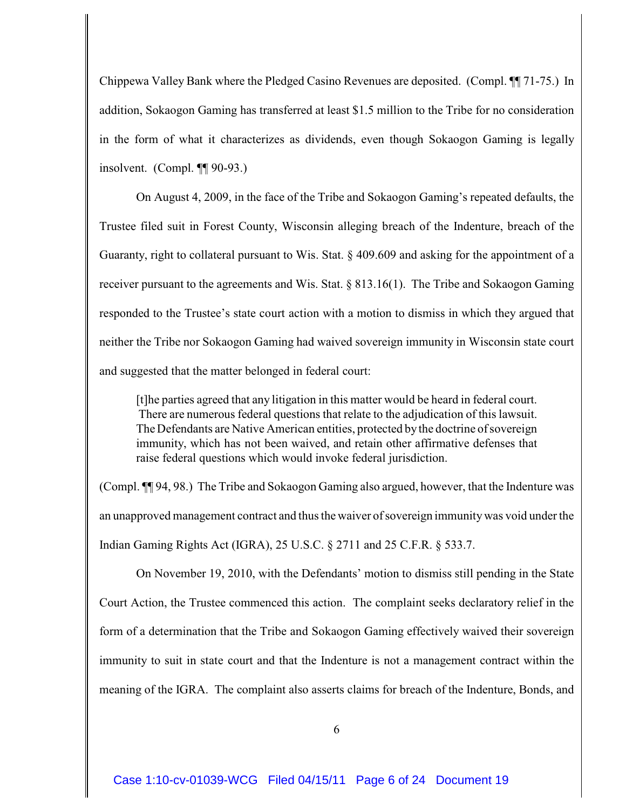Chippewa Valley Bank where the Pledged Casino Revenues are deposited. (Compl. ¶¶ 71-75.) In addition, Sokaogon Gaming has transferred at least \$1.5 million to the Tribe for no consideration in the form of what it characterizes as dividends, even though Sokaogon Gaming is legally insolvent. (Compl. ¶¶ 90-93.)

On August 4, 2009, in the face of the Tribe and Sokaogon Gaming's repeated defaults, the Trustee filed suit in Forest County, Wisconsin alleging breach of the Indenture, breach of the Guaranty, right to collateral pursuant to Wis. Stat. § 409.609 and asking for the appointment of a receiver pursuant to the agreements and Wis. Stat. § 813.16(1). The Tribe and Sokaogon Gaming responded to the Trustee's state court action with a motion to dismiss in which they argued that neither the Tribe nor Sokaogon Gaming had waived sovereign immunity in Wisconsin state court and suggested that the matter belonged in federal court:

[t]he parties agreed that any litigation in this matter would be heard in federal court. There are numerous federal questions that relate to the adjudication of this lawsuit. The Defendants are Native American entities, protected by the doctrine of sovereign immunity, which has not been waived, and retain other affirmative defenses that raise federal questions which would invoke federal jurisdiction.

(Compl. ¶¶ 94, 98.) The Tribe and Sokaogon Gaming also argued, however, that the Indenture was an unapproved management contract and thus the waiver of sovereign immunity was void under the Indian Gaming Rights Act (IGRA), 25 U.S.C. § 2711 and 25 C.F.R. § 533.7.

On November 19, 2010, with the Defendants' motion to dismiss still pending in the State Court Action, the Trustee commenced this action. The complaint seeks declaratory relief in the form of a determination that the Tribe and Sokaogon Gaming effectively waived their sovereign immunity to suit in state court and that the Indenture is not a management contract within the meaning of the IGRA. The complaint also asserts claims for breach of the Indenture, Bonds, and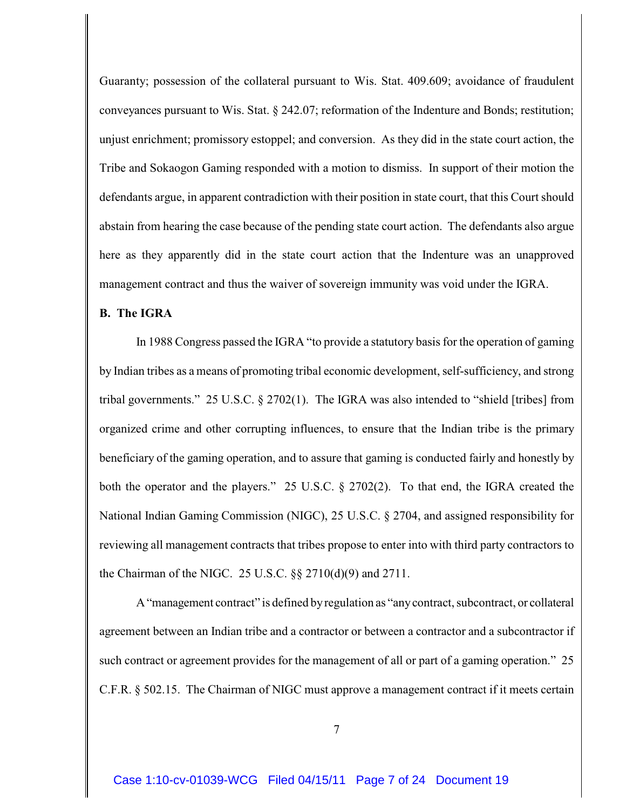Guaranty; possession of the collateral pursuant to Wis. Stat. 409.609; avoidance of fraudulent conveyances pursuant to Wis. Stat. § 242.07; reformation of the Indenture and Bonds; restitution; unjust enrichment; promissory estoppel; and conversion. As they did in the state court action, the Tribe and Sokaogon Gaming responded with a motion to dismiss. In support of their motion the defendants argue, in apparent contradiction with their position in state court, that this Court should abstain from hearing the case because of the pending state court action. The defendants also argue here as they apparently did in the state court action that the Indenture was an unapproved management contract and thus the waiver of sovereign immunity was void under the IGRA.

## **B. The IGRA**

In 1988 Congress passed the IGRA "to provide a statutory basis for the operation of gaming by Indian tribes as a means of promoting tribal economic development, self-sufficiency, and strong tribal governments." 25 U.S.C. § 2702(1). The IGRA was also intended to "shield [tribes] from organized crime and other corrupting influences, to ensure that the Indian tribe is the primary beneficiary of the gaming operation, and to assure that gaming is conducted fairly and honestly by both the operator and the players." 25 U.S.C. § 2702(2). To that end, the IGRA created the National Indian Gaming Commission (NIGC), 25 U.S.C. § 2704, and assigned responsibility for reviewing all management contracts that tribes propose to enter into with third party contractors to the Chairman of the NIGC. 25 U.S.C. §§ 2710(d)(9) and 2711.

A "management contract" is defined by regulation as "any contract, subcontract, or collateral agreement between an Indian tribe and a contractor or between a contractor and a subcontractor if such contract or agreement provides for the management of all or part of a gaming operation." 25 C.F.R. § 502.15. The Chairman of NIGC must approve a management contract if it meets certain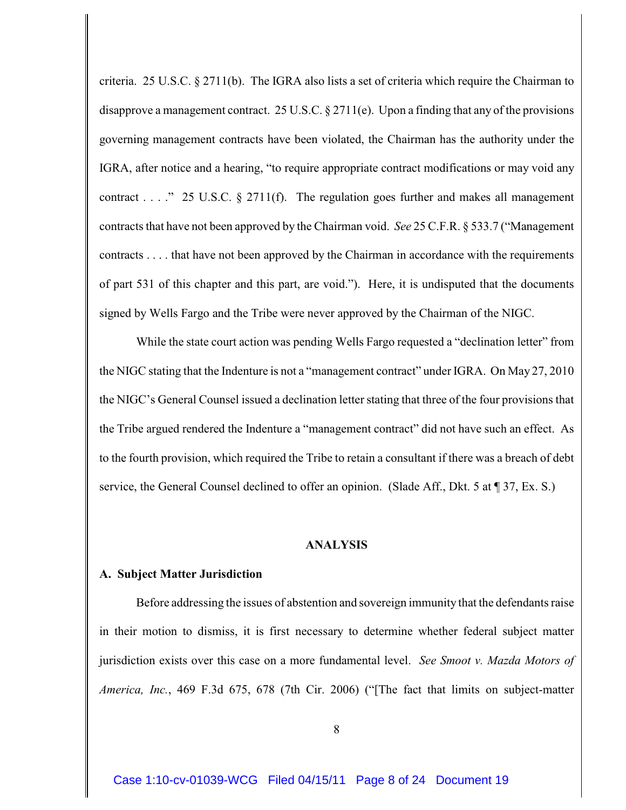criteria. 25 U.S.C. § 2711(b). The IGRA also lists a set of criteria which require the Chairman to disapprove a management contract. 25 U.S.C. § 2711(e). Upon a finding that any of the provisions governing management contracts have been violated, the Chairman has the authority under the IGRA, after notice and a hearing, "to require appropriate contract modifications or may void any contract . . . ." 25 U.S.C.  $\S$  2711(f). The regulation goes further and makes all management contracts that have not been approved by the Chairman void. *See* 25 C.F.R. § 533.7 ("Management contracts . . . . that have not been approved by the Chairman in accordance with the requirements of part 531 of this chapter and this part, are void."). Here, it is undisputed that the documents signed by Wells Fargo and the Tribe were never approved by the Chairman of the NIGC.

While the state court action was pending Wells Fargo requested a "declination letter" from the NIGC stating that the Indenture is not a "management contract" under IGRA. On May 27, 2010 the NIGC's General Counsel issued a declination letter stating that three of the four provisions that the Tribe argued rendered the Indenture a "management contract" did not have such an effect. As to the fourth provision, which required the Tribe to retain a consultant if there was a breach of debt service, the General Counsel declined to offer an opinion. (Slade Aff., Dkt. 5 at  $\P$  37, Ex. S.)

## **ANALYSIS**

## **A. Subject Matter Jurisdiction**

Before addressing the issues of abstention and sovereign immunity that the defendants raise in their motion to dismiss, it is first necessary to determine whether federal subject matter jurisdiction exists over this case on a more fundamental level. *See Smoot v. Mazda Motors of America, Inc.*, 469 F.3d 675, 678 (7th Cir. 2006) ("[The fact that limits on subject-matter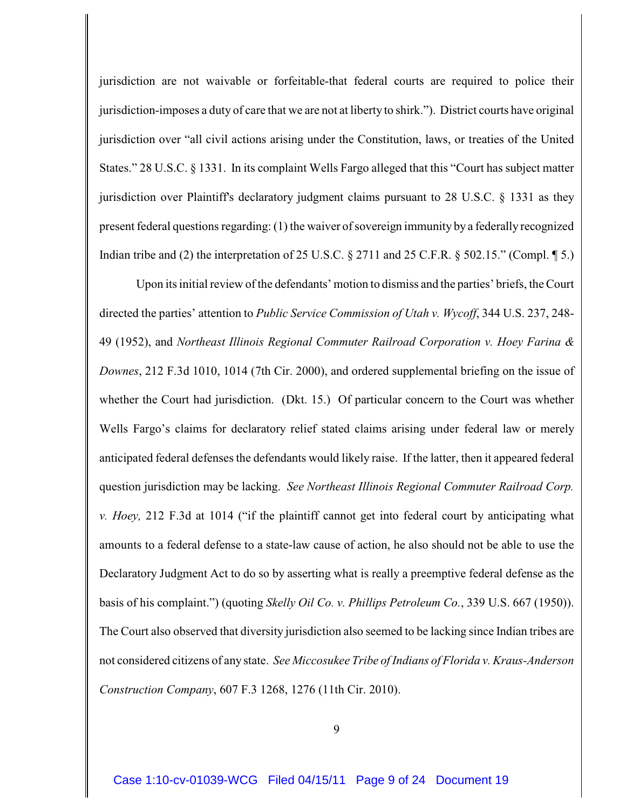jurisdiction are not waivable or forfeitable-that federal courts are required to police their jurisdiction-imposes a duty of care that we are not at liberty to shirk."). District courts have original jurisdiction over "all civil actions arising under the Constitution, laws, or treaties of the United States." 28 U.S.C. § 1331. In its complaint Wells Fargo alleged that this "Court has subject matter jurisdiction over Plaintiff's declaratory judgment claims pursuant to 28 U.S.C. § 1331 as they present federal questions regarding: (1) the waiver of sovereign immunity by a federally recognized Indian tribe and (2) the interpretation of 25 U.S.C. § 2711 and 25 C.F.R. § 502.15." (Compl. ¶ 5.)

Upon its initial review of the defendants' motion to dismiss and the parties' briefs, the Court directed the parties' attention to *Public Service Commission of Utah v. Wycoff*, 344 U.S. 237, 248- 49 (1952), and *Northeast Illinois Regional Commuter Railroad Corporation v. Hoey Farina & Downes*, 212 F.3d 1010, 1014 (7th Cir. 2000), and ordered supplemental briefing on the issue of whether the Court had jurisdiction. (Dkt. 15.) Of particular concern to the Court was whether Wells Fargo's claims for declaratory relief stated claims arising under federal law or merely anticipated federal defenses the defendants would likely raise. If the latter, then it appeared federal question jurisdiction may be lacking. *See Northeast Illinois Regional Commuter Railroad Corp. v. Hoey,* 212 F.3d at 1014 ("if the plaintiff cannot get into federal court by anticipating what amounts to a federal defense to a state-law cause of action, he also should not be able to use the Declaratory Judgment Act to do so by asserting what is really a preemptive federal defense as the basis of his complaint.") (quoting *Skelly Oil Co. v. Phillips Petroleum Co.*, 339 U.S. 667 (1950)). The Court also observed that diversity jurisdiction also seemed to be lacking since Indian tribes are not considered citizens of any state. *See Miccosukee Tribe of Indians of Florida v. Kraus-Anderson Construction Company*, 607 F.3 1268, 1276 (11th Cir. 2010).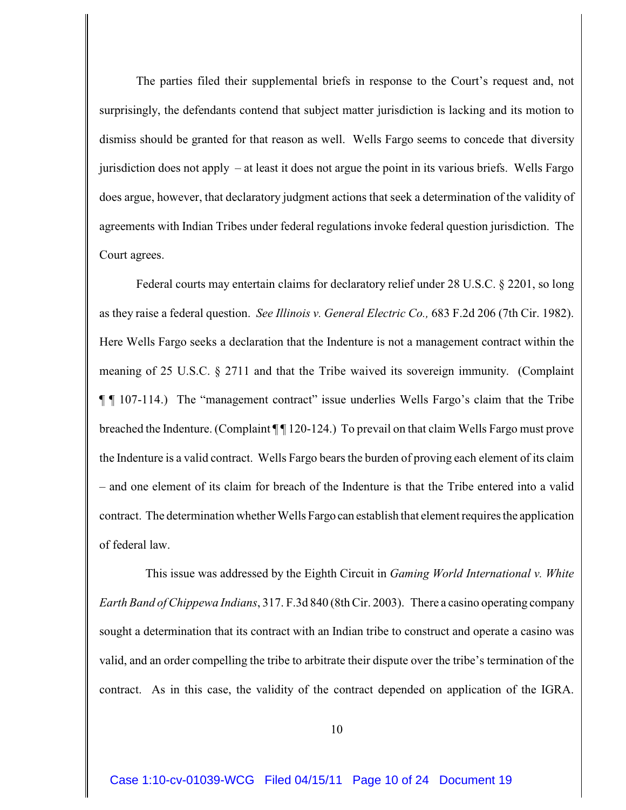The parties filed their supplemental briefs in response to the Court's request and, not surprisingly, the defendants contend that subject matter jurisdiction is lacking and its motion to dismiss should be granted for that reason as well. Wells Fargo seems to concede that diversity jurisdiction does not apply – at least it does not argue the point in its various briefs. Wells Fargo does argue, however, that declaratory judgment actions that seek a determination of the validity of agreements with Indian Tribes under federal regulations invoke federal question jurisdiction. The Court agrees.

Federal courts may entertain claims for declaratory relief under 28 U.S.C. § 2201, so long as they raise a federal question. *See Illinois v. General Electric Co.,* 683 F.2d 206 (7th Cir. 1982). Here Wells Fargo seeks a declaration that the Indenture is not a management contract within the meaning of 25 U.S.C. § 2711 and that the Tribe waived its sovereign immunity. (Complaint ¶ ¶ 107-114.) The "management contract" issue underlies Wells Fargo's claim that the Tribe breached the Indenture. (Complaint ¶ 120-124.) To prevail on that claim Wells Fargo must prove the Indenture is a valid contract. Wells Fargo bears the burden of proving each element of its claim – and one element of its claim for breach of the Indenture is that the Tribe entered into a valid contract. The determination whether Wells Fargo can establish that element requires the application of federal law.

 This issue was addressed by the Eighth Circuit in *Gaming World International v. White Earth Band of Chippewa Indians*, 317. F.3d 840 (8th Cir. 2003). There a casino operating company sought a determination that its contract with an Indian tribe to construct and operate a casino was valid, and an order compelling the tribe to arbitrate their dispute over the tribe's termination of the contract. As in this case, the validity of the contract depended on application of the IGRA.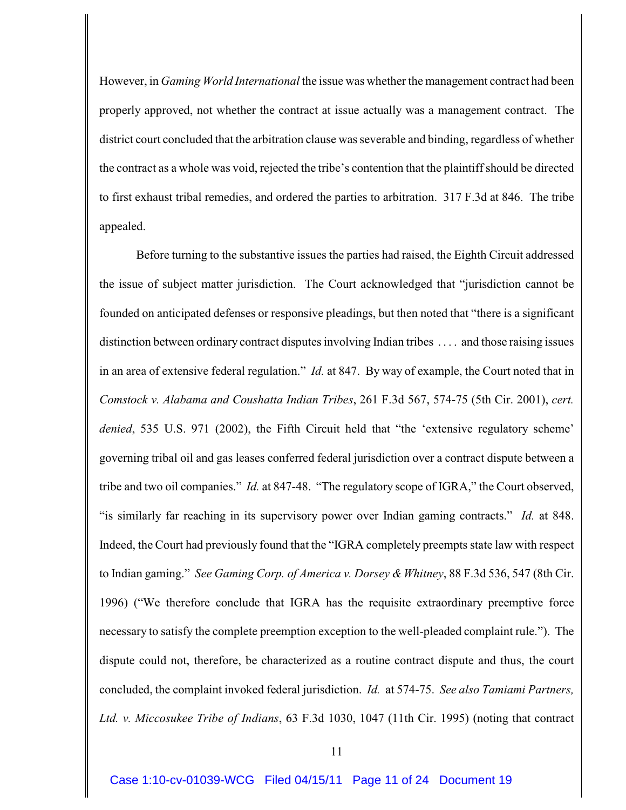However, in *Gaming World International* the issue was whether the management contract had been properly approved, not whether the contract at issue actually was a management contract. The district court concluded that the arbitration clause was severable and binding, regardless of whether the contract as a whole was void, rejected the tribe's contention that the plaintiff should be directed to first exhaust tribal remedies, and ordered the parties to arbitration. 317 F.3d at 846. The tribe appealed.

Before turning to the substantive issues the parties had raised, the Eighth Circuit addressed the issue of subject matter jurisdiction. The Court acknowledged that "jurisdiction cannot be founded on anticipated defenses or responsive pleadings, but then noted that "there is a significant distinction between ordinary contract disputes involving Indian tribes . . . . and those raising issues in an area of extensive federal regulation." *Id.* at 847. By way of example, the Court noted that in *Comstock v. Alabama and Coushatta Indian Tribes*, 261 F.3d 567, 574-75 (5th Cir. 2001), *cert. denied*, 535 U.S. 971 (2002), the Fifth Circuit held that "the 'extensive regulatory scheme' governing tribal oil and gas leases conferred federal jurisdiction over a contract dispute between a tribe and two oil companies." *Id.* at 847-48. "The regulatory scope of IGRA," the Court observed, "is similarly far reaching in its supervisory power over Indian gaming contracts." *Id.* at 848. Indeed, the Court had previously found that the "IGRA completely preempts state law with respect to Indian gaming." *See Gaming Corp. of America v. Dorsey & Whitney*, 88 F.3d 536, 547 (8th Cir. 1996) ("We therefore conclude that IGRA has the requisite extraordinary preemptive force necessary to satisfy the complete preemption exception to the well-pleaded complaint rule."). The dispute could not, therefore, be characterized as a routine contract dispute and thus, the court concluded, the complaint invoked federal jurisdiction. *Id.* at 574-75. *See also Tamiami Partners, Ltd. v. Miccosukee Tribe of Indians*, 63 F.3d 1030, 1047 (11th Cir. 1995) (noting that contract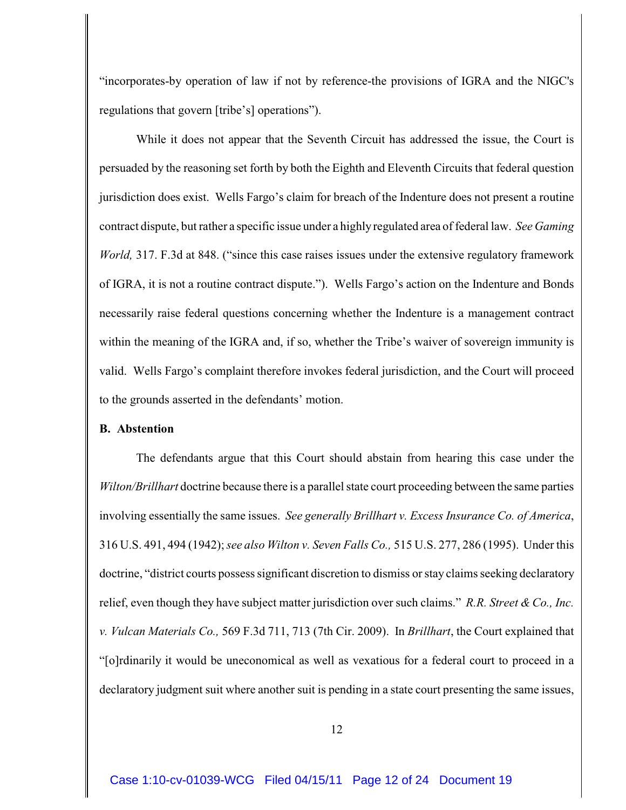"incorporates-by operation of law if not by reference-the provisions of IGRA and the NIGC's regulations that govern [tribe's] operations").

While it does not appear that the Seventh Circuit has addressed the issue, the Court is persuaded by the reasoning set forth by both the Eighth and Eleventh Circuits that federal question jurisdiction does exist. Wells Fargo's claim for breach of the Indenture does not present a routine contract dispute, but rather a specific issue under a highlyregulated area of federal law. *See Gaming World,* 317. F.3d at 848. ("since this case raises issues under the extensive regulatory framework of IGRA, it is not a routine contract dispute."). Wells Fargo's action on the Indenture and Bonds necessarily raise federal questions concerning whether the Indenture is a management contract within the meaning of the IGRA and, if so, whether the Tribe's waiver of sovereign immunity is valid. Wells Fargo's complaint therefore invokes federal jurisdiction, and the Court will proceed to the grounds asserted in the defendants' motion.

## **B. Abstention**

The defendants argue that this Court should abstain from hearing this case under the *Wilton/Brillhart* doctrine because there is a parallel state court proceeding between the same parties involving essentially the same issues. *See generally Brillhart v. Excess Insurance Co. of America*, 316 U.S. 491, 494 (1942);*see also Wilton v. Seven Falls Co.,* 515 U.S. 277, 286 (1995). Under this doctrine, "district courts possess significant discretion to dismiss or stay claims seeking declaratory relief, even though they have subject matter jurisdiction over such claims." *R.R. Street & Co., Inc. v. Vulcan Materials Co.,* 569 F.3d 711, 713 (7th Cir. 2009). In *Brillhart*, the Court explained that "[o]rdinarily it would be uneconomical as well as vexatious for a federal court to proceed in a declaratory judgment suit where another suit is pending in a state court presenting the same issues,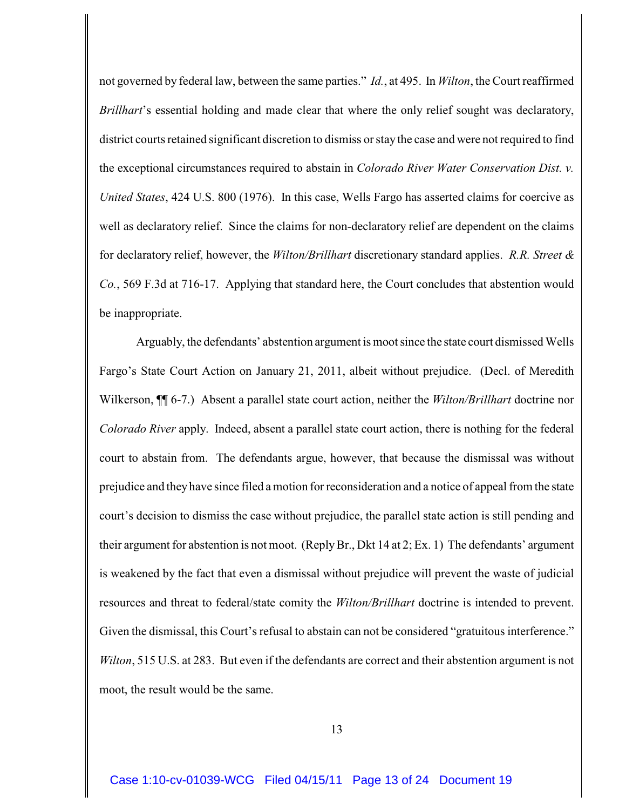not governed by federal law, between the same parties." *Id.*, at 495. In *Wilton*, the Court reaffirmed *Brillhart*'s essential holding and made clear that where the only relief sought was declaratory, district courts retained significant discretion to dismiss or stay the case and were not required to find the exceptional circumstances required to abstain in *Colorado River Water Conservation Dist. v. United States*, 424 U.S. 800 (1976). In this case, Wells Fargo has asserted claims for coercive as well as declaratory relief. Since the claims for non-declaratory relief are dependent on the claims for declaratory relief, however, the *Wilton/Brillhart* discretionary standard applies. *R.R. Street & Co.*, 569 F.3d at 716-17. Applying that standard here, the Court concludes that abstention would be inappropriate.

Arguably, the defendants' abstention argument is moot since the state court dismissed Wells Fargo's State Court Action on January 21, 2011, albeit without prejudice. (Decl. of Meredith Wilkerson, ¶¶ 6-7.) Absent a parallel state court action, neither the *Wilton/Brillhart* doctrine nor *Colorado River* apply. Indeed, absent a parallel state court action, there is nothing for the federal court to abstain from. The defendants argue, however, that because the dismissal was without prejudice and they have since filed a motion for reconsideration and a notice of appeal from the state court's decision to dismiss the case without prejudice, the parallel state action is still pending and their argument for abstention is not moot. (Reply Br., Dkt 14 at 2; Ex. 1) The defendants' argument is weakened by the fact that even a dismissal without prejudice will prevent the waste of judicial resources and threat to federal/state comity the *Wilton/Brillhart* doctrine is intended to prevent. Given the dismissal, this Court's refusal to abstain can not be considered "gratuitous interference." *Wilton*, 515 U.S. at 283. But even if the defendants are correct and their abstention argument is not moot, the result would be the same.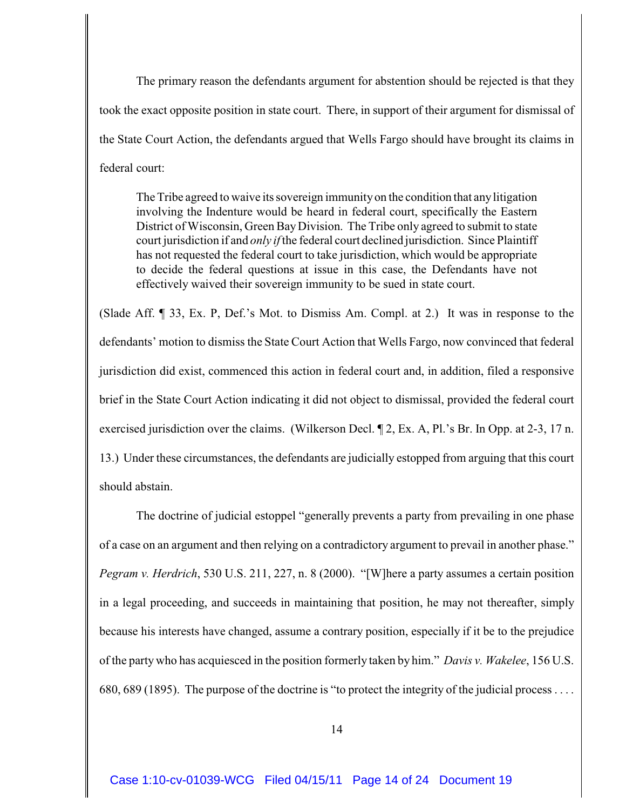The primary reason the defendants argument for abstention should be rejected is that they took the exact opposite position in state court. There, in support of their argument for dismissal of the State Court Action, the defendants argued that Wells Fargo should have brought its claims in federal court:

The Tribe agreed to waive its sovereign immunity on the condition that any litigation involving the Indenture would be heard in federal court, specifically the Eastern District of Wisconsin, Green BayDivision. The Tribe only agreed to submit to state court jurisdiction if and *only if* the federal court declined jurisdiction. Since Plaintiff has not requested the federal court to take jurisdiction, which would be appropriate to decide the federal questions at issue in this case, the Defendants have not effectively waived their sovereign immunity to be sued in state court.

(Slade Aff. ¶ 33, Ex. P, Def.'s Mot. to Dismiss Am. Compl. at 2.) It was in response to the defendants' motion to dismiss the State Court Action that Wells Fargo, now convinced that federal jurisdiction did exist, commenced this action in federal court and, in addition, filed a responsive brief in the State Court Action indicating it did not object to dismissal, provided the federal court exercised jurisdiction over the claims. (Wilkerson Decl. ¶ 2, Ex. A, Pl.'s Br. In Opp. at 2-3, 17 n. 13.) Under these circumstances, the defendants are judicially estopped from arguing that this court should abstain.

The doctrine of judicial estoppel "generally prevents a party from prevailing in one phase of a case on an argument and then relying on a contradictory argument to prevail in another phase." *Pegram v. Herdrich*, 530 U.S. 211, 227, n. 8 (2000). "[W]here a party assumes a certain position in a legal proceeding, and succeeds in maintaining that position, he may not thereafter, simply because his interests have changed, assume a contrary position, especially if it be to the prejudice of the party who has acquiesced in the position formerly taken by him." *Davis v. Wakelee*, 156 U.S. 680, 689 (1895). The purpose of the doctrine is "to protect the integrity of the judicial process . . . .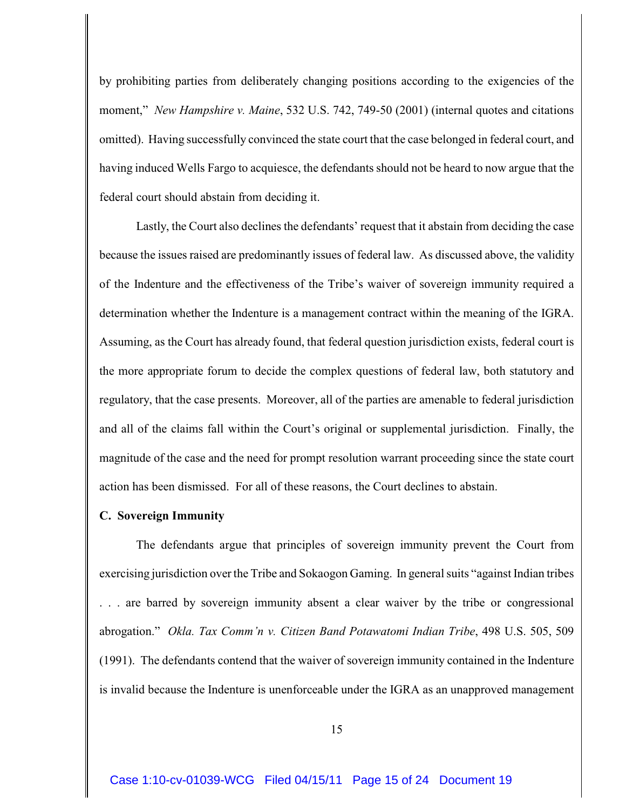by prohibiting parties from deliberately changing positions according to the exigencies of the moment," *New Hampshire v. Maine*, 532 U.S. 742, 749-50 (2001) (internal quotes and citations omitted). Having successfully convinced the state court that the case belonged in federal court, and having induced Wells Fargo to acquiesce, the defendants should not be heard to now argue that the federal court should abstain from deciding it.

Lastly, the Court also declines the defendants' request that it abstain from deciding the case because the issues raised are predominantly issues of federal law. As discussed above, the validity of the Indenture and the effectiveness of the Tribe's waiver of sovereign immunity required a determination whether the Indenture is a management contract within the meaning of the IGRA. Assuming, as the Court has already found, that federal question jurisdiction exists, federal court is the more appropriate forum to decide the complex questions of federal law, both statutory and regulatory, that the case presents. Moreover, all of the parties are amenable to federal jurisdiction and all of the claims fall within the Court's original or supplemental jurisdiction. Finally, the magnitude of the case and the need for prompt resolution warrant proceeding since the state court action has been dismissed. For all of these reasons, the Court declines to abstain.

## **C. Sovereign Immunity**

The defendants argue that principles of sovereign immunity prevent the Court from exercising jurisdiction over the Tribe and Sokaogon Gaming. In general suits "against Indian tribes . are barred by sovereign immunity absent a clear waiver by the tribe or congressional abrogation." *Okla. Tax Comm'n v. Citizen Band Potawatomi Indian Tribe*, 498 U.S. 505, 509 (1991). The defendants contend that the waiver of sovereign immunity contained in the Indenture is invalid because the Indenture is unenforceable under the IGRA as an unapproved management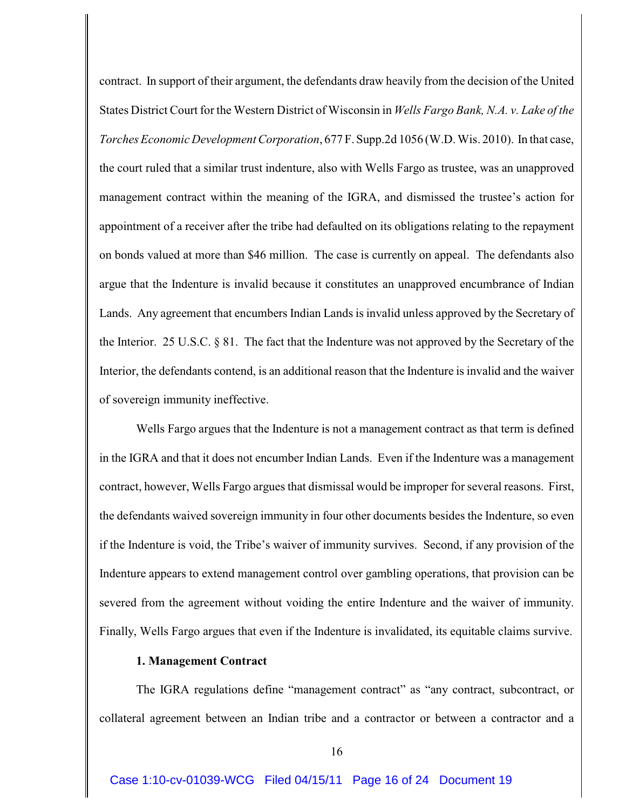contract. In support of their argument, the defendants draw heavily from the decision of the United States District Court for the Western District of Wisconsin in *Wells Fargo Bank, N.A. v. Lake of the Torches Economic Development Corporation*, 677 F. Supp.2d 1056 (W.D. Wis. 2010). In that case, the court ruled that a similar trust indenture, also with Wells Fargo as trustee, was an unapproved management contract within the meaning of the IGRA, and dismissed the trustee's action for appointment of a receiver after the tribe had defaulted on its obligations relating to the repayment on bonds valued at more than \$46 million. The case is currently on appeal. The defendants also argue that the Indenture is invalid because it constitutes an unapproved encumbrance of Indian Lands. Any agreement that encumbers Indian Lands is invalid unless approved by the Secretary of the Interior. 25 U.S.C. § 81. The fact that the Indenture was not approved by the Secretary of the Interior, the defendants contend, is an additional reason that the Indenture is invalid and the waiver of sovereign immunity ineffective.

Wells Fargo argues that the Indenture is not a management contract as that term is defined in the IGRA and that it does not encumber Indian Lands. Even if the Indenture was a management contract, however, Wells Fargo argues that dismissal would be improper for several reasons. First, the defendants waived sovereign immunity in four other documents besides the Indenture, so even if the Indenture is void, the Tribe's waiver of immunity survives. Second, if any provision of the Indenture appears to extend management control over gambling operations, that provision can be severed from the agreement without voiding the entire Indenture and the waiver of immunity. Finally, Wells Fargo argues that even if the Indenture is invalidated, its equitable claims survive.

## **1. Management Contract**

The IGRA regulations define "management contract" as "any contract, subcontract, or collateral agreement between an Indian tribe and a contractor or between a contractor and a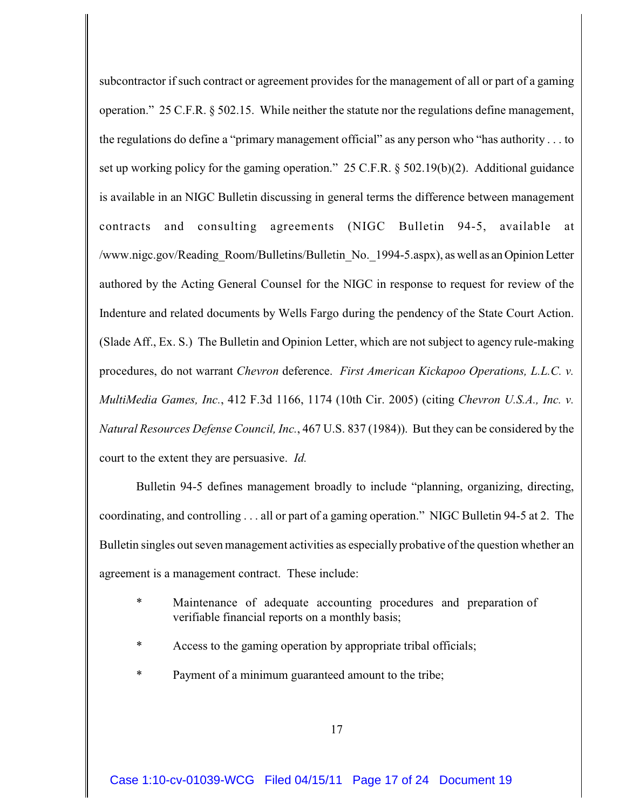subcontractor if such contract or agreement provides for the management of all or part of a gaming operation." 25 C.F.R. § 502.15. While neither the statute nor the regulations define management, the regulations do define a "primary management official" as any person who "has authority . . . to set up working policy for the gaming operation." 25 C.F.R. § 502.19(b)(2). Additional guidance is available in an NIGC Bulletin discussing in general terms the difference between management contracts and consulting agreements (NIGC Bulletin 94-5, available at /www.nigc.gov/Reading\_Room/Bulletins/Bulletin\_No.\_1994-5.aspx), as well as an Opinion Letter authored by the Acting General Counsel for the NIGC in response to request for review of the Indenture and related documents by Wells Fargo during the pendency of the State Court Action. (Slade Aff., Ex. S.) The Bulletin and Opinion Letter, which are not subject to agency rule-making procedures, do not warrant *Chevron* deference. *First American Kickapoo Operations, L.L.C. v. MultiMedia Games, Inc.*, 412 F.3d 1166, 1174 (10th Cir. 2005) (citing *Chevron U.S.A., Inc. v. Natural Resources Defense Council, Inc.*, 467 U.S. 837 (1984)). But they can be considered by the court to the extent they are persuasive. *Id.*

Bulletin 94-5 defines management broadly to include "planning, organizing, directing, coordinating, and controlling . . . all or part of a gaming operation." NIGC Bulletin 94-5 at 2. The Bulletin singles out seven management activities as especially probative of the question whether an agreement is a management contract. These include:

- Maintenance of adequate accounting procedures and preparation of verifiable financial reports on a monthly basis;
- \* Access to the gaming operation by appropriate tribal officials;
- Payment of a minimum guaranteed amount to the tribe;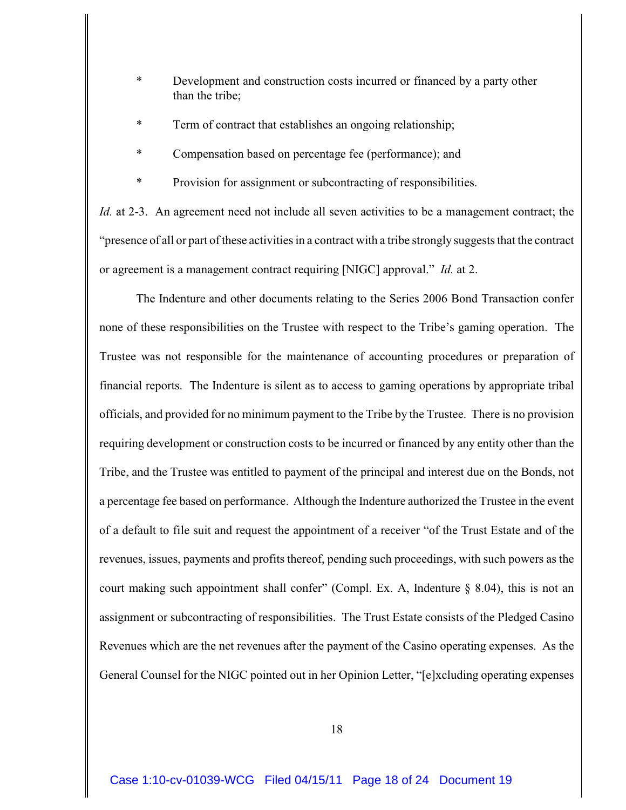- \* Development and construction costs incurred or financed by a party other than the tribe;
- Term of contract that establishes an ongoing relationship;
- Compensation based on percentage fee (performance); and
- Provision for assignment or subcontracting of responsibilities.

*Id.* at 2-3. An agreement need not include all seven activities to be a management contract; the "presence of all or part of these activities in a contract with a tribe strongly suggests that the contract or agreement is a management contract requiring [NIGC] approval." *Id.* at 2.

The Indenture and other documents relating to the Series 2006 Bond Transaction confer none of these responsibilities on the Trustee with respect to the Tribe's gaming operation. The Trustee was not responsible for the maintenance of accounting procedures or preparation of financial reports. The Indenture is silent as to access to gaming operations by appropriate tribal officials, and provided for no minimum payment to the Tribe by the Trustee. There is no provision requiring development or construction costs to be incurred or financed by any entity other than the Tribe, and the Trustee was entitled to payment of the principal and interest due on the Bonds, not a percentage fee based on performance. Although the Indenture authorized the Trustee in the event of a default to file suit and request the appointment of a receiver "of the Trust Estate and of the revenues, issues, payments and profits thereof, pending such proceedings, with such powers as the court making such appointment shall confer" (Compl. Ex. A, Indenture § 8.04), this is not an assignment or subcontracting of responsibilities. The Trust Estate consists of the Pledged Casino Revenues which are the net revenues after the payment of the Casino operating expenses. As the General Counsel for the NIGC pointed out in her Opinion Letter, "[e]xcluding operating expenses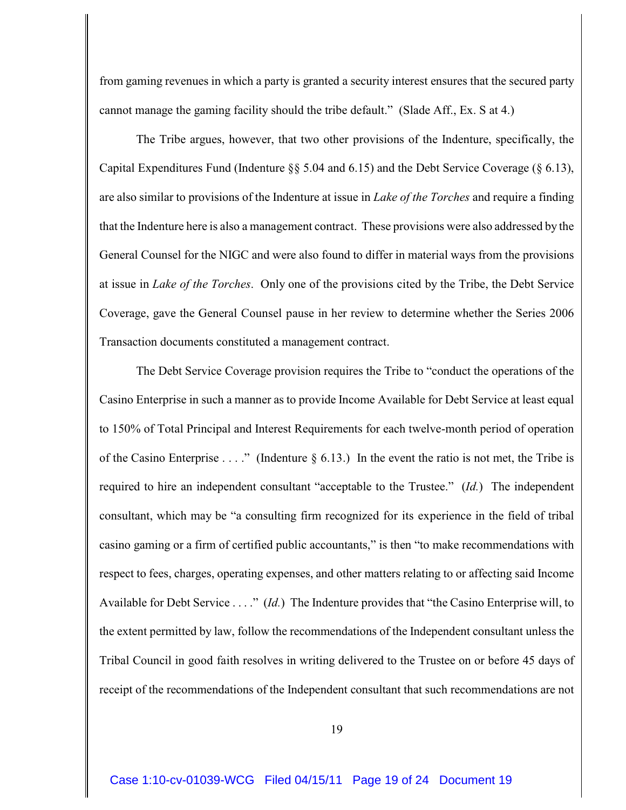from gaming revenues in which a party is granted a security interest ensures that the secured party cannot manage the gaming facility should the tribe default." (Slade Aff., Ex. S at 4.)

The Tribe argues, however, that two other provisions of the Indenture, specifically, the Capital Expenditures Fund (Indenture §§ 5.04 and 6.15) and the Debt Service Coverage (§ 6.13), are also similar to provisions of the Indenture at issue in *Lake of the Torches* and require a finding that the Indenture here is also a management contract. These provisions were also addressed by the General Counsel for the NIGC and were also found to differ in material ways from the provisions at issue in *Lake of the Torches*. Only one of the provisions cited by the Tribe, the Debt Service Coverage, gave the General Counsel pause in her review to determine whether the Series 2006 Transaction documents constituted a management contract.

The Debt Service Coverage provision requires the Tribe to "conduct the operations of the Casino Enterprise in such a manner as to provide Income Available for Debt Service at least equal to 150% of Total Principal and Interest Requirements for each twelve-month period of operation of the Casino Enterprise . . . ." (Indenture  $\S$  6.13.) In the event the ratio is not met, the Tribe is required to hire an independent consultant "acceptable to the Trustee." (*Id.*) The independent consultant, which may be "a consulting firm recognized for its experience in the field of tribal casino gaming or a firm of certified public accountants," is then "to make recommendations with respect to fees, charges, operating expenses, and other matters relating to or affecting said Income Available for Debt Service . . . ." (*Id.*) The Indenture provides that "the Casino Enterprise will, to the extent permitted by law, follow the recommendations of the Independent consultant unless the Tribal Council in good faith resolves in writing delivered to the Trustee on or before 45 days of receipt of the recommendations of the Independent consultant that such recommendations are not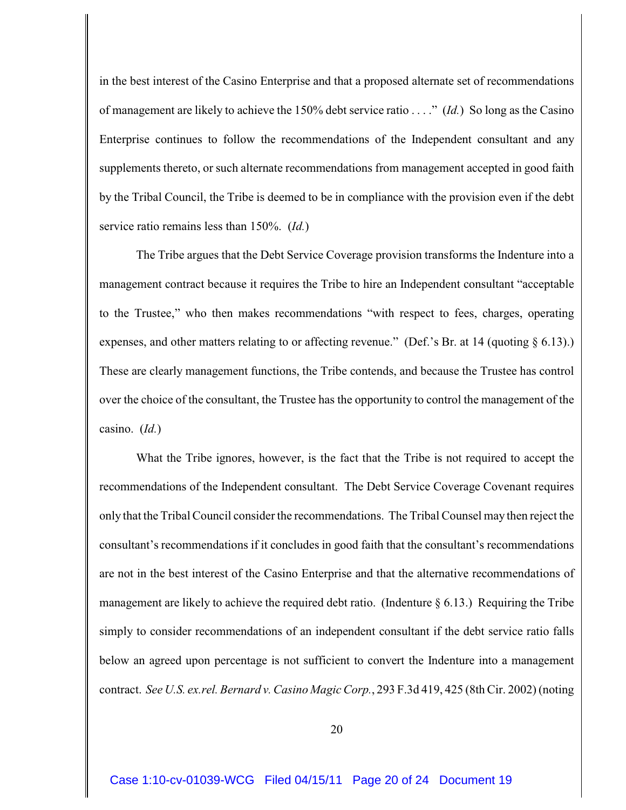in the best interest of the Casino Enterprise and that a proposed alternate set of recommendations of management are likely to achieve the 150% debt service ratio . . . ." (*Id.*) So long as the Casino Enterprise continues to follow the recommendations of the Independent consultant and any supplements thereto, or such alternate recommendations from management accepted in good faith by the Tribal Council, the Tribe is deemed to be in compliance with the provision even if the debt service ratio remains less than 150%. (*Id.*)

The Tribe argues that the Debt Service Coverage provision transforms the Indenture into a management contract because it requires the Tribe to hire an Independent consultant "acceptable to the Trustee," who then makes recommendations "with respect to fees, charges, operating expenses, and other matters relating to or affecting revenue." (Def.'s Br. at 14 (quoting § 6.13).) These are clearly management functions, the Tribe contends, and because the Trustee has control over the choice of the consultant, the Trustee has the opportunity to control the management of the casino. (*Id.*)

What the Tribe ignores, however, is the fact that the Tribe is not required to accept the recommendations of the Independent consultant. The Debt Service Coverage Covenant requires only that the Tribal Council consider the recommendations. The Tribal Counsel may then reject the consultant's recommendations if it concludes in good faith that the consultant's recommendations are not in the best interest of the Casino Enterprise and that the alternative recommendations of management are likely to achieve the required debt ratio. (Indenture  $\S 6.13$ .) Requiring the Tribe simply to consider recommendations of an independent consultant if the debt service ratio falls below an agreed upon percentage is not sufficient to convert the Indenture into a management contract. *See U.S. ex.rel. Bernard v. Casino Magic Corp.*, 293 F.3d 419, 425 (8th Cir. 2002) (noting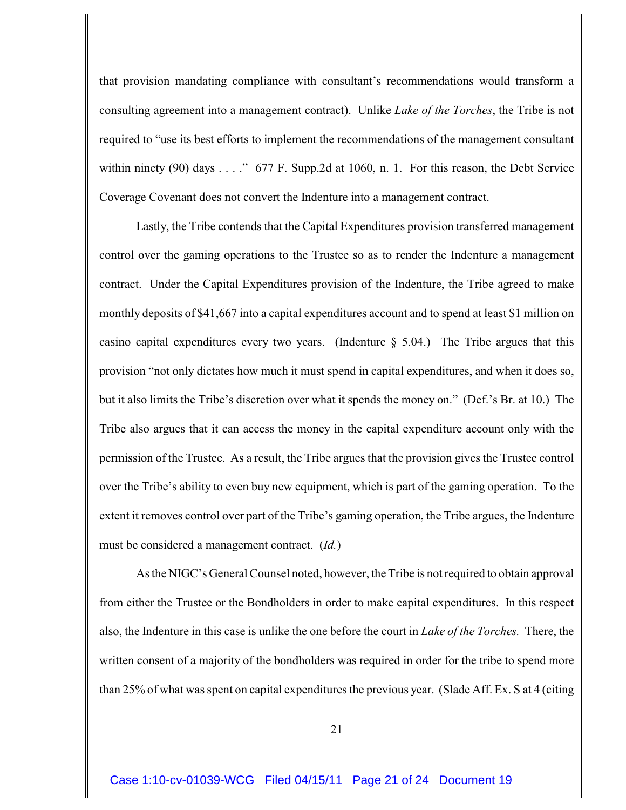that provision mandating compliance with consultant's recommendations would transform a consulting agreement into a management contract). Unlike *Lake of the Torches*, the Tribe is not required to "use its best efforts to implement the recommendations of the management consultant within ninety (90) days . . . ." 677 F. Supp.2d at 1060, n. 1. For this reason, the Debt Service Coverage Covenant does not convert the Indenture into a management contract.

Lastly, the Tribe contends that the Capital Expenditures provision transferred management control over the gaming operations to the Trustee so as to render the Indenture a management contract. Under the Capital Expenditures provision of the Indenture, the Tribe agreed to make monthly deposits of \$41,667 into a capital expenditures account and to spend at least \$1 million on casino capital expenditures every two years. (Indenture  $\S$  5.04.) The Tribe argues that this provision "not only dictates how much it must spend in capital expenditures, and when it does so, but it also limits the Tribe's discretion over what it spends the money on." (Def.'s Br. at 10.) The Tribe also argues that it can access the money in the capital expenditure account only with the permission of the Trustee. As a result, the Tribe argues that the provision gives the Trustee control over the Tribe's ability to even buy new equipment, which is part of the gaming operation. To the extent it removes control over part of the Tribe's gaming operation, the Tribe argues, the Indenture must be considered a management contract. (*Id.*)

As the NIGC's General Counsel noted, however, the Tribe is not required to obtain approval from either the Trustee or the Bondholders in order to make capital expenditures. In this respect also, the Indenture in this case is unlike the one before the court in *Lake of the Torches.* There, the written consent of a majority of the bondholders was required in order for the tribe to spend more than 25% of what was spent on capital expenditures the previous year. (Slade Aff. Ex. S at 4 (citing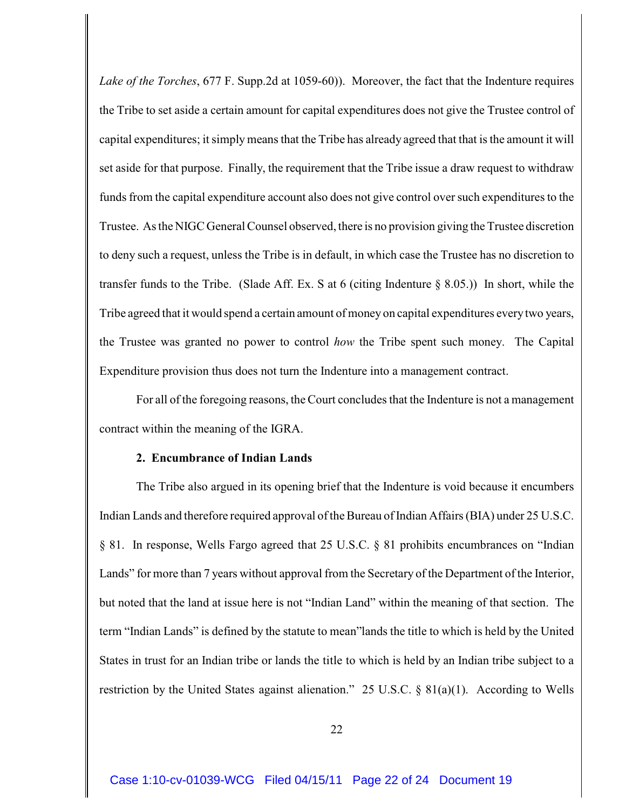*Lake of the Torches*, 677 F. Supp.2d at 1059-60)). Moreover, the fact that the Indenture requires the Tribe to set aside a certain amount for capital expenditures does not give the Trustee control of capital expenditures; it simply means that the Tribe has already agreed that that is the amount it will set aside for that purpose. Finally, the requirement that the Tribe issue a draw request to withdraw funds from the capital expenditure account also does not give control over such expenditures to the Trustee. As the NIGC General Counsel observed, there is no provision giving the Trustee discretion to deny such a request, unless the Tribe is in default, in which case the Trustee has no discretion to transfer funds to the Tribe. (Slade Aff. Ex. S at 6 (citing Indenture  $\S$  8.05.)) In short, while the Tribe agreed that it would spend a certain amount of money on capital expenditures every two years, the Trustee was granted no power to control *how* the Tribe spent such money. The Capital Expenditure provision thus does not turn the Indenture into a management contract.

For all of the foregoing reasons, the Court concludes that the Indenture is not a management contract within the meaning of the IGRA.

## **2. Encumbrance of Indian Lands**

The Tribe also argued in its opening brief that the Indenture is void because it encumbers Indian Lands and therefore required approval of the Bureau of Indian Affairs (BIA) under 25 U.S.C. § 81. In response, Wells Fargo agreed that 25 U.S.C. § 81 prohibits encumbrances on "Indian Lands" for more than 7 years without approval from the Secretary of the Department of the Interior, but noted that the land at issue here is not "Indian Land" within the meaning of that section. The term "Indian Lands" is defined by the statute to mean"lands the title to which is held by the United States in trust for an Indian tribe or lands the title to which is held by an Indian tribe subject to a restriction by the United States against alienation." 25 U.S.C. § 81(a)(1). According to Wells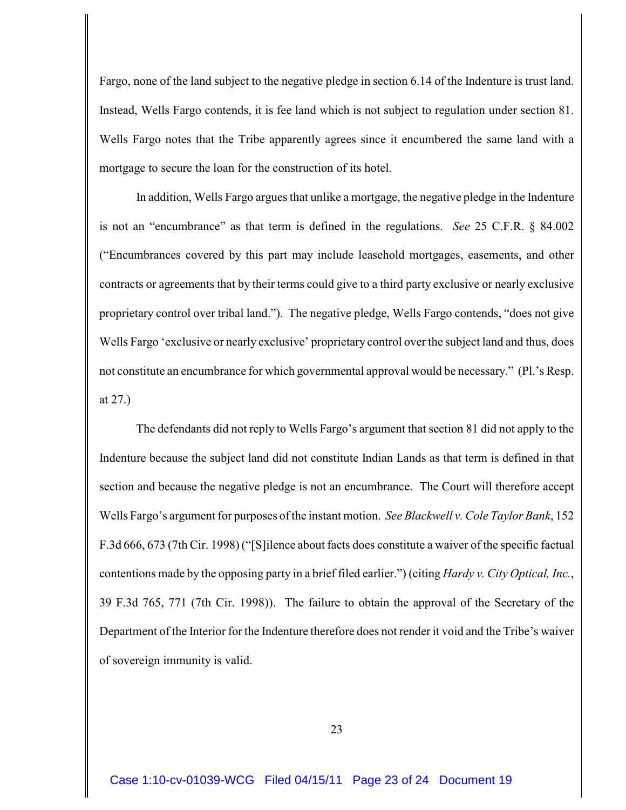Fargo, none of the land subject to the negative pledge in section 6.14 of the Indenture is trust land. Instead, Wells Fargo contends, it is fee land which is not subject to regulation under section 81. Wells Fargo notes that the Tribe apparently agrees since it encumbered the same land with a mortgage to secure the loan for the construction of its hotel.

In addition, Wells Fargo argues that unlike a mortgage, the negative pledge in the Indenture is not an "encumbrance" as that term is defined in the regulations. *See* 25 C.F.R. § 84.002 ("Encumbrances covered by this part may include leasehold mortgages, easements, and other contracts or agreements that by their terms could give to a third party exclusive or nearly exclusive proprietary control over tribal land."). The negative pledge, Wells Fargo contends, "does not give Wells Fargo 'exclusive or nearly exclusive' proprietary control over the subject land and thus, does not constitute an encumbrance for which governmental approval would be necessary." (Pl.'s Resp. at 27.)

The defendants did not reply to Wells Fargo's argument that section 81 did not apply to the Indenture because the subject land did not constitute Indian Lands as that term is defined in that section and because the negative pledge is not an encumbrance. The Court will therefore accept Wells Fargo's argument for purposes of the instant motion. *See Blackwell v. Cole Taylor Bank*, 152 F.3d 666, 673 (7th Cir. 1998) ("[S]ilence about facts does constitute a waiver of the specific factual contentions made by the opposing party in a brief filed earlier.") (citing *Hardy v. City Optical, Inc.*, 39 F.3d 765, 771 (7th Cir. 1998)). The failure to obtain the approval of the Secretary of the Department of the Interior for the Indenture therefore does not render it void and the Tribe's waiver of sovereign immunity is valid.